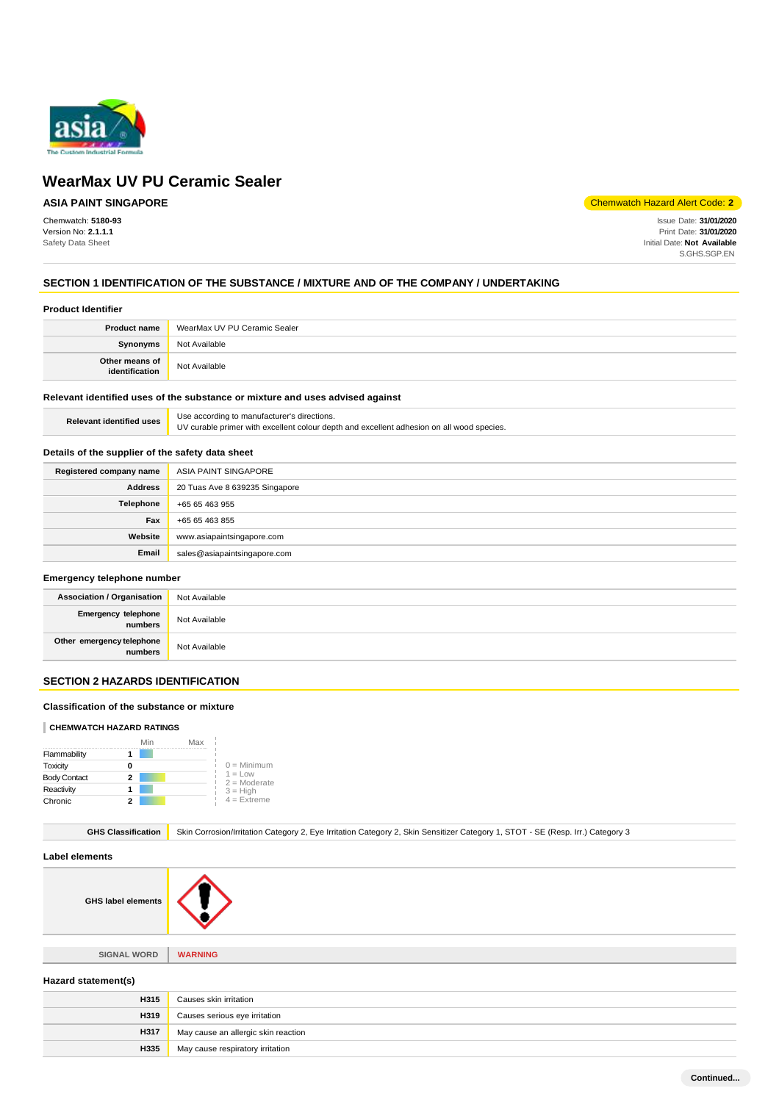

## **ASIA PAINT SINGAPORE**

Chemwatch: **5180-93** Version No: **2.1.1.1** Safety Data Sheet

Chemwatch Hazard Alert Code: **2**

Issue Date: **31/01/2020** Print Date: **31/01/2020** Initial Date: **Not Available** S.GHS.SGP.EN

### **SECTION 1 IDENTIFICATION OF THE SUBSTANCE / MIXTURE AND OF THE COMPANY / UNDERTAKING**

#### **Product Identifier**

| <b>Product name</b>              | WearMax UV PU Ceramic Sealer |
|----------------------------------|------------------------------|
| <b>Synonyms</b>                  | Not Available                |
| Other means of<br>identification | Not Available                |

#### **Relevant identified uses of the substance or mixture and uses advised against**

| <b>Relevant identified uses</b> | Use according to manufacturer's directions.                                               |
|---------------------------------|-------------------------------------------------------------------------------------------|
|                                 | UV curable primer with excellent colour depth and excellent adhesion on all wood species. |

#### **Details of the supplier of the safety data sheet**

| Registered company name | ASIA PAINT SINGAPORE           |
|-------------------------|--------------------------------|
| <b>Address</b>          | 20 Tuas Ave 8 639235 Singapore |
| Telephone               | +65 65 463 955                 |
| Fax                     | +65 65 463 855                 |
| Website                 | www.asiapaintsingapore.com     |
| Email                   | sales@asiapaintsingapore.com   |

#### **Emergency telephone number**

| <b>Association / Organisation</b>    | Not Available |
|--------------------------------------|---------------|
| Emergency telephone<br>numbers       | Not Available |
| Other emergency telephone<br>numbers | Not Available |

## **SECTION 2 HAZARDS IDENTIFICATION**

#### **Classification of the substance or mixture**

#### **CHEMWATCH HAZARD RATINGS**

|                     |   | Min | Max |                             |
|---------------------|---|-----|-----|-----------------------------|
| Flammability        |   |     |     |                             |
| Toxicity            |   |     |     | $0 =$ Minimum               |
| <b>Body Contact</b> | 2 |     |     | $1 = Low$<br>$2 =$ Moderate |
| Reactivity          |   |     |     | $3 = High$                  |
| Chronic             | 2 |     |     | $4$ = Extreme               |

|  | GHS Classification   Skin Corrosion/Irritation Category 2, Eye Irritation Category 2, Skin Sensitizer Category 1, STOT - SE (Resp. Irr.) Category 3 |
|--|-----------------------------------------------------------------------------------------------------------------------------------------------------|
|--|-----------------------------------------------------------------------------------------------------------------------------------------------------|

**Label elements**

**GHS label elements**

**SIGNAL WORD WARNING**

#### **Hazard statement(s)**

| <b>H315</b> | Causes skin irritation              |
|-------------|-------------------------------------|
| H319        | Causes serious eye irritation       |
| <b>H317</b> | May cause an allergic skin reaction |
| H335        | May cause respiratory irritation    |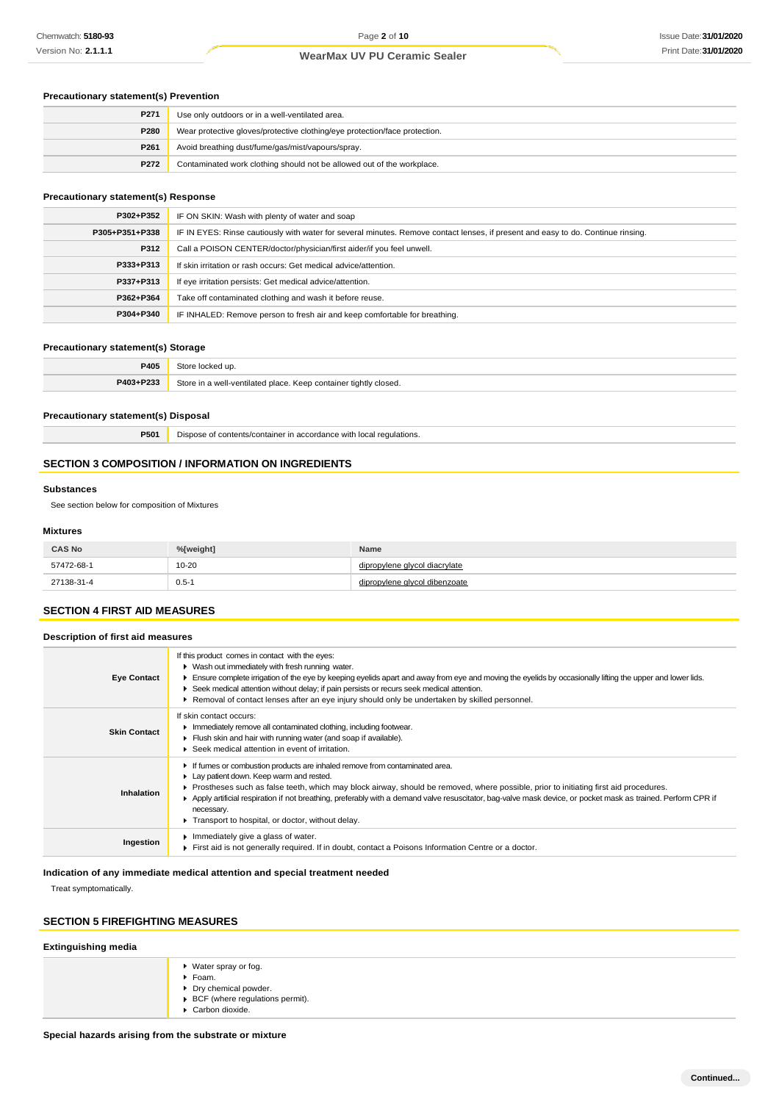#### **Precautionary statement(s) Prevention**

| P271 | Use only outdoors or in a well-ventilated area.                            |  |
|------|----------------------------------------------------------------------------|--|
| P280 | Wear protective gloves/protective clothing/eye protection/face protection. |  |
| P261 | Avoid breathing dust/fume/gas/mist/vapours/spray.                          |  |
| P272 | Contaminated work clothing should not be allowed out of the workplace.     |  |

#### **Precautionary statement(s) Response**

| P302+P352      | IF ON SKIN: Wash with plenty of water and soap                                                                                   |  |
|----------------|----------------------------------------------------------------------------------------------------------------------------------|--|
| P305+P351+P338 | IF IN EYES: Rinse cautiously with water for several minutes. Remove contact lenses, if present and easy to do. Continue rinsing. |  |
| P312           | Call a POISON CENTER/doctor/physician/first aider/if you feel unwell.                                                            |  |
| P333+P313      | If skin irritation or rash occurs: Get medical advice/attention.                                                                 |  |
| P337+P313      | If eye irritation persists: Get medical advice/attention.                                                                        |  |
| P362+P364      | Take off contaminated clothing and wash it before reuse.                                                                         |  |
| P304+P340      | IF INHALED: Remove person to fresh air and keep comfortable for breathing.                                                       |  |

#### **Precautionary statement(s) Storage**

| <b>DANS</b>      |                                                                           |
|------------------|---------------------------------------------------------------------------|
| <b>P403+P233</b> | 3tore<br>. Keep container tightly closed.<br>hatelıtaav.<br>مموام<br>1110 |

#### **Precautionary statement(s) Disposal**

**P501** Dispose of contents/container in accordance with local regulations.

#### **SECTION 3 COMPOSITION / INFORMATION ON INGREDIENTS**

#### **Substances**

See section below for composition of Mixtures

#### **Mixtures**

| <b>CAS No</b> | %[weight] | Name                          |
|---------------|-----------|-------------------------------|
| 57472-68-1    | $10 - 20$ | dipropylene glycol diacrylate |
| 27138-31-4    | $0.5 - 1$ | povlene alvcol dibenzoate     |

#### **SECTION 4 FIRST AID MEASURES**

### **Description of first aid measures**

| <b>Eye Contact</b>  | If this product comes in contact with the eyes:<br>• Wash out immediately with fresh running water.<br>Ensure complete irrigation of the eye by keeping eyelids apart and away from eye and moving the eyelids by occasionally lifting the upper and lower lids.<br>▶ Seek medical attention without delay; if pain persists or recurs seek medical attention.<br>▶ Removal of contact lenses after an eye injury should only be undertaken by skilled personnel.                                 |
|---------------------|---------------------------------------------------------------------------------------------------------------------------------------------------------------------------------------------------------------------------------------------------------------------------------------------------------------------------------------------------------------------------------------------------------------------------------------------------------------------------------------------------|
| <b>Skin Contact</b> | If skin contact occurs:<br>In mediately remove all contaminated clothing, including footwear.<br>Flush skin and hair with running water (and soap if available).<br>▶ Seek medical attention in event of irritation.                                                                                                                                                                                                                                                                              |
| <b>Inhalation</b>   | If fumes or combustion products are inhaled remove from contaminated area.<br>• Lay patient down. Keep warm and rested.<br>Prostheses such as false teeth, which may block airway, should be removed, where possible, prior to initiating first aid procedures.<br>Apply artificial respiration if not breathing, preferably with a demand valve resuscitator, bag-valve mask device, or pocket mask as trained. Perform CPR if<br>necessary.<br>Transport to hospital, or doctor, without delay. |
| Ingestion           | Inmediately give a glass of water.<br>First aid is not generally required. If in doubt, contact a Poisons Information Centre or a doctor.                                                                                                                                                                                                                                                                                                                                                         |

#### **Indication of any immediate medical attention and special treatment needed**

Treat symptomatically.

### **SECTION 5 FIREFIGHTING MEASURES**

| <b>Extinguishing media</b> |                                                                                                                                        |  |
|----------------------------|----------------------------------------------------------------------------------------------------------------------------------------|--|
|                            | ▶ Water spray or fog.<br>$\blacktriangleright$ Foam.<br>▶ Dry chemical powder.<br>▶ BCF (where regulations permit).<br>Carbon dioxide. |  |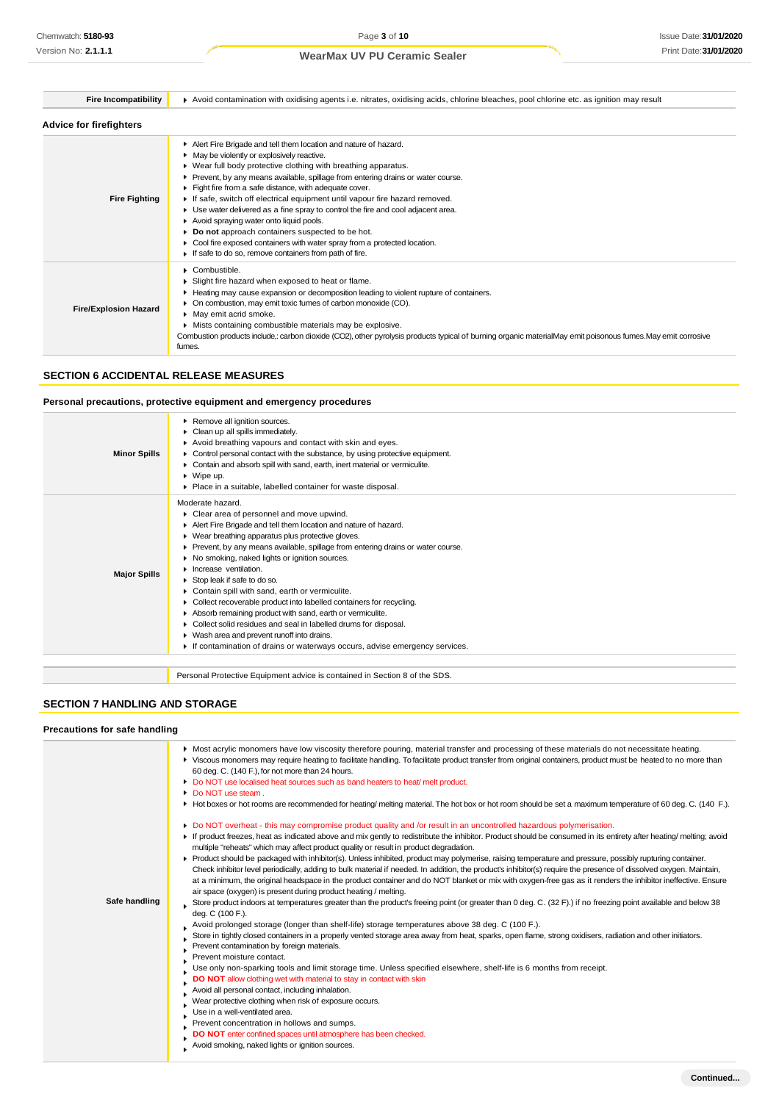| <b>Fire Incompatibility</b>    | Avoid contamination with oxidising agents i.e. nitrates, oxidising acids, chlorine bleaches, pool chlorine etc. as ignition may result                                                                                                                                                                                                                                                                                                                                                                                                                                                                                                                                                                                              |  |  |
|--------------------------------|-------------------------------------------------------------------------------------------------------------------------------------------------------------------------------------------------------------------------------------------------------------------------------------------------------------------------------------------------------------------------------------------------------------------------------------------------------------------------------------------------------------------------------------------------------------------------------------------------------------------------------------------------------------------------------------------------------------------------------------|--|--|
| <b>Advice for firefighters</b> |                                                                                                                                                                                                                                                                                                                                                                                                                                                                                                                                                                                                                                                                                                                                     |  |  |
| <b>Fire Fighting</b>           | Alert Fire Brigade and tell them location and nature of hazard.<br>• May be violently or explosively reactive.<br>▶ Wear full body protective clothing with breathing apparatus.<br>Prevent, by any means available, spillage from entering drains or water course.<br>Fight fire from a safe distance, with adequate cover.<br>If safe, switch off electrical equipment until vapour fire hazard removed.<br>► Use water delivered as a fine spray to control the fire and cool adjacent area.<br>Avoid spraying water onto liquid pools.<br>Do not approach containers suspected to be hot.<br>Cool fire exposed containers with water spray from a protected location.<br>If safe to do so, remove containers from path of fire. |  |  |
| <b>Fire/Explosion Hazard</b>   | $\triangleright$ Combustible.<br>Slight fire hazard when exposed to heat or flame.<br>Heating may cause expansion or decomposition leading to violent rupture of containers.<br>• On combustion, may emit toxic fumes of carbon monoxide (CO).<br>• May emit acrid smoke.<br>Mists containing combustible materials may be explosive.<br>Combustion products include, carbon dioxide (CO2), other pyrolysis products typical of burning organic materialMay emit poisonous fumes. May emit corrosive<br>fumes.                                                                                                                                                                                                                      |  |  |

### **SECTION 6 ACCIDENTAL RELEASE MEASURES**

### **Personal precautions, protective equipment and emergency procedures**

| <b>Minor Spills</b> | Remove all ignition sources.<br>Clean up all spills immediately.<br>Avoid breathing vapours and contact with skin and eyes.<br>► Control personal contact with the substance, by using protective equipment.<br>Contain and absorb spill with sand, earth, inert material or vermiculite.<br>$\blacktriangleright$ Wipe up.<br>▶ Place in a suitable, labelled container for waste disposal.                                                                                                                                                                                                                                                                                                                                                                                  |
|---------------------|-------------------------------------------------------------------------------------------------------------------------------------------------------------------------------------------------------------------------------------------------------------------------------------------------------------------------------------------------------------------------------------------------------------------------------------------------------------------------------------------------------------------------------------------------------------------------------------------------------------------------------------------------------------------------------------------------------------------------------------------------------------------------------|
| <b>Major Spills</b> | Moderate hazard.<br>Clear area of personnel and move upwind.<br>Alert Fire Brigade and tell them location and nature of hazard.<br>• Wear breathing apparatus plus protective gloves.<br>▶ Prevent, by any means available, spillage from entering drains or water course.<br>No smoking, naked lights or ignition sources.<br>I Increase ventilation.<br>Stop leak if safe to do so.<br>Contain spill with sand, earth or vermiculite.<br>• Collect recoverable product into labelled containers for recycling.<br>Absorb remaining product with sand, earth or vermiculite.<br>Collect solid residues and seal in labelled drums for disposal.<br>▶ Wash area and prevent runoff into drains.<br>If contamination of drains or waterways occurs, advise emergency services. |
|                     | Personal Protective Equipment advice is contained in Section 8 of the SDS.                                                                                                                                                                                                                                                                                                                                                                                                                                                                                                                                                                                                                                                                                                    |

### **SECTION 7 HANDLING AND STORAGE**

#### **Precautions for safe handling**

|               | • Most acrylic monomers have low viscosity therefore pouring, material transfer and processing of these materials do not necessitate heating.<br>▶ Viscous monomers may require heating to facilitate handling. To facilitate product transfer from original containers, product must be heated to no more than<br>60 deg. C. (140 F.), for not more than 24 hours.<br>Do NOT use localised heat sources such as band heaters to heat/melt product.<br>• Do NOT use steam.<br>Hot boxes or hot rooms are recommended for heating/melting material. The hot box or hot room should be set a maximum temperature of 60 deg. C. (140 F.).<br>Do NOT overheat - this may compromise product quality and /or result in an uncontrolled hazardous polymerisation. |
|---------------|-------------------------------------------------------------------------------------------------------------------------------------------------------------------------------------------------------------------------------------------------------------------------------------------------------------------------------------------------------------------------------------------------------------------------------------------------------------------------------------------------------------------------------------------------------------------------------------------------------------------------------------------------------------------------------------------------------------------------------------------------------------|
|               | If product freezes, heat as indicated above and mix gently to redistribute the inhibitor. Product should be consumed in its entirety after heating/ melting; avoid<br>multiple "reheats" which may affect product quality or result in product degradation.                                                                                                                                                                                                                                                                                                                                                                                                                                                                                                 |
|               | Product should be packaged with inhibitor(s). Unless inhibited, product may polymerise, raising temperature and pressure, possibly rupturing container.<br>Check inhibitor level periodically, adding to bulk material if needed. In addition, the product's inhibitor(s) require the presence of dissolved oxygen. Maintain,<br>at a minimum, the original headspace in the product container and do NOT blanket or mix with oxygen-free gas as it renders the inhibitor ineffective. Ensure<br>air space (oxygen) is present during product heating / melting.                                                                                                                                                                                            |
| Safe handling | Store product indoors at temperatures greater than the product's freeing point (or greater than 0 deg. C. (32 F).) if no freezing point available and below 38<br>deg. C (100 F.).                                                                                                                                                                                                                                                                                                                                                                                                                                                                                                                                                                          |
|               | Avoid prolonged storage (longer than shelf-life) storage temperatures above 38 deg. C (100 F.).                                                                                                                                                                                                                                                                                                                                                                                                                                                                                                                                                                                                                                                             |
|               | Store in tightly closed containers in a properly vented storage area away from heat, sparks, open flame, strong oxidisers, radiation and other initiators.<br>Prevent contamination by foreign materials.                                                                                                                                                                                                                                                                                                                                                                                                                                                                                                                                                   |
|               | Prevent moisture contact.                                                                                                                                                                                                                                                                                                                                                                                                                                                                                                                                                                                                                                                                                                                                   |
|               | Use only non-sparking tools and limit storage time. Unless specified elsewhere, shelf-life is 6 months from receipt.                                                                                                                                                                                                                                                                                                                                                                                                                                                                                                                                                                                                                                        |
|               | DO NOT allow clothing wet with material to stay in contact with skin<br>Avoid all personal contact, including inhalation.                                                                                                                                                                                                                                                                                                                                                                                                                                                                                                                                                                                                                                   |
|               | Wear protective clothing when risk of exposure occurs.                                                                                                                                                                                                                                                                                                                                                                                                                                                                                                                                                                                                                                                                                                      |
|               | Use in a well-ventilated area.                                                                                                                                                                                                                                                                                                                                                                                                                                                                                                                                                                                                                                                                                                                              |
|               | Prevent concentration in hollows and sumps.                                                                                                                                                                                                                                                                                                                                                                                                                                                                                                                                                                                                                                                                                                                 |
|               | DO NOT enter confined spaces until atmosphere has been checked.                                                                                                                                                                                                                                                                                                                                                                                                                                                                                                                                                                                                                                                                                             |
|               | Avoid smoking, naked lights or ignition sources.                                                                                                                                                                                                                                                                                                                                                                                                                                                                                                                                                                                                                                                                                                            |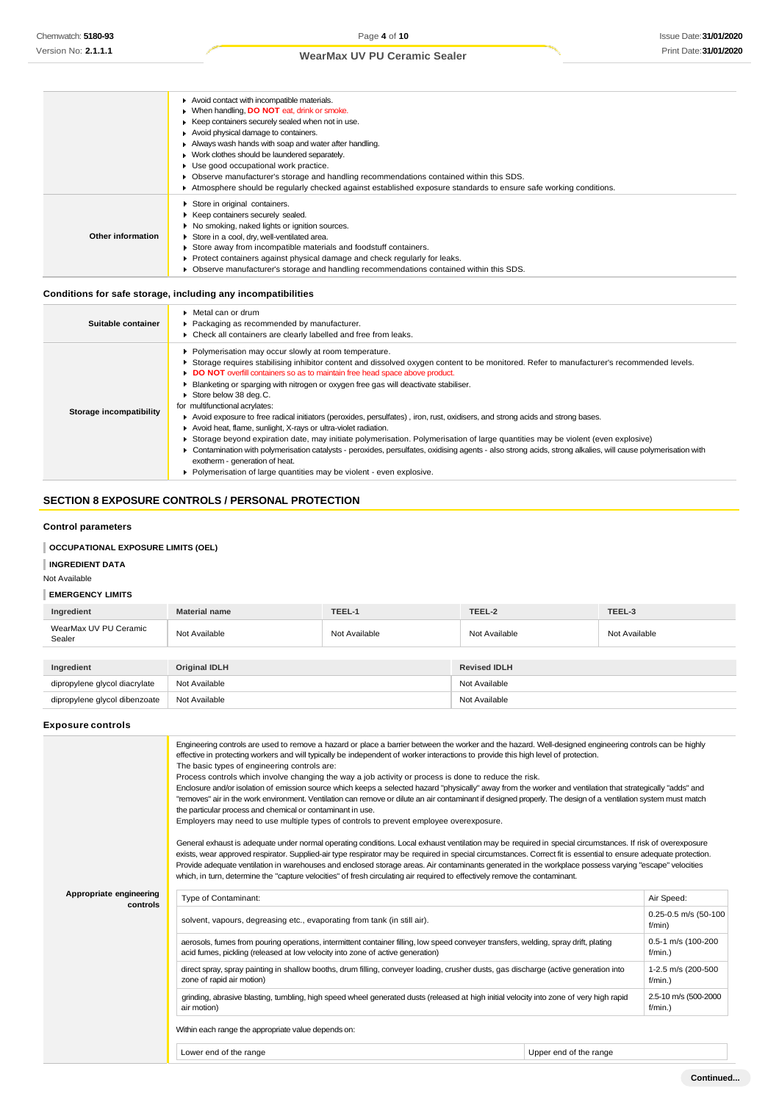|                   | Avoid contact with incompatible materials.<br>• When handling, <b>DO NOT</b> eat, drink or smoke.<br>Keep containers securely sealed when not in use.<br>Avoid physical damage to containers.<br>Always wash hands with soap and water after handling.<br>• Work clothes should be laundered separately.<br>Use good occupational work practice.<br>Observe manufacturer's storage and handling recommendations contained within this SDS.<br>Atmosphere should be regularly checked against established exposure standards to ensure safe working conditions. |
|-------------------|----------------------------------------------------------------------------------------------------------------------------------------------------------------------------------------------------------------------------------------------------------------------------------------------------------------------------------------------------------------------------------------------------------------------------------------------------------------------------------------------------------------------------------------------------------------|
| Other information | Store in original containers.<br>▶ Keep containers securely sealed.<br>▶ No smoking, naked lights or ignition sources.<br>Store in a cool, dry, well-ventilated area.<br>Store away from incompatible materials and foodstuff containers.<br>Protect containers against physical damage and check regularly for leaks.<br>• Observe manufacturer's storage and handling recommendations contained within this SDS.                                                                                                                                             |

### **Conditions for safe storage, including any incompatibilities**

| Suitable container      | $\triangleright$ Metal can or drum<br>▶ Packaging as recommended by manufacturer.<br>• Check all containers are clearly labelled and free from leaks.                                                                                                                                                                                                                                                                                                                                                                                                                                                                                                                                                                                                                                                                                                                                                                                                                                                                                                 |
|-------------------------|-------------------------------------------------------------------------------------------------------------------------------------------------------------------------------------------------------------------------------------------------------------------------------------------------------------------------------------------------------------------------------------------------------------------------------------------------------------------------------------------------------------------------------------------------------------------------------------------------------------------------------------------------------------------------------------------------------------------------------------------------------------------------------------------------------------------------------------------------------------------------------------------------------------------------------------------------------------------------------------------------------------------------------------------------------|
| Storage incompatibility | Polymerisation may occur slowly at room temperature.<br>> Storage requires stabilising inhibitor content and dissolved oxygen content to be monitored. Refer to manufacturer's recommended levels.<br>DO NOT overfill containers so as to maintain free head space above product.<br>Blanketing or sparging with nitrogen or oxygen free gas will deactivate stabiliser.<br>Store below 38 deg.C.<br>for multifunctional acrylates:<br>Avoid exposure to free radical initiators (peroxides, persulfates), iron, rust, oxidisers, and strong acids and strong bases.<br>Avoid heat, flame, sunlight, X-rays or ultra-violet radiation.<br>Storage beyond expiration date, may initiate polymerisation. Polymerisation of large quantities may be violent (even explosive)<br>▶ Contamination with polymerisation catalysts - peroxides, persulfates, oxidising agents - also strong acids, strong alkalies, will cause polymerisation with<br>exotherm - generation of heat.<br>• Polymerisation of large quantities may be violent - even explosive. |

## **SECTION 8 EXPOSURE CONTROLS / PERSONAL PROTECTION**

### **Control parameters**

### **OCCUPATIONAL EXPOSURE LIMITS (OEL)**

### **INGREDIENT DATA**

### Not Available

### **EMERGENCY LIMITS**

| Ingredient                      | <b>Material name</b> | TEEL-1        | TEEL-2              | TEEL-3        |
|---------------------------------|----------------------|---------------|---------------------|---------------|
| WearMax UV PU Ceramic<br>Sealer | Not Available        | Not Available | Not Available       | Not Available |
|                                 |                      |               |                     |               |
| Ingredient                      | <b>Original IDLH</b> |               | <b>Revised IDLH</b> |               |
| dipropylene glycol diacrylate   | Not Available        |               | Not Available       |               |
| dipropylene glycol dibenzoate   | Not Available        |               | Not Available       |               |

### **Exposure controls**

|                                     | Engineering controls are used to remove a hazard or place a barrier between the worker and the hazard. Well-designed engineering controls can be highly<br>effective in protecting workers and will typically be independent of worker interactions to provide this high level of protection.<br>The basic types of engineering controls are:<br>Process controls which involve changing the way a job activity or process is done to reduce the risk.<br>Enclosure and/or isolation of emission source which keeps a selected hazard "physically" away from the worker and ventilation that strategically "adds" and<br>"removes" air in the work environment. Ventilation can remove or dilute an air contaminant if designed properly. The design of a ventilation system must match<br>the particular process and chemical or contaminant in use.<br>Employers may need to use multiple types of controls to prevent employee overexposure.<br>General exhaust is adequate under normal operating conditions. Local exhaust ventilation may be required in special circumstances. If risk of overexposure<br>exists, wear approved respirator. Supplied-air type respirator may be required in special circumstances. Correct fit is essential to ensure adequate protection.<br>Provide adequate ventilation in warehouses and enclosed storage areas. Air contaminants generated in the workplace possess varying "escape" velocities<br>which, in turn, determine the "capture velocities" of fresh circulating air required to effectively remove the contaminant. |                        |                                  |  |  |
|-------------------------------------|----------------------------------------------------------------------------------------------------------------------------------------------------------------------------------------------------------------------------------------------------------------------------------------------------------------------------------------------------------------------------------------------------------------------------------------------------------------------------------------------------------------------------------------------------------------------------------------------------------------------------------------------------------------------------------------------------------------------------------------------------------------------------------------------------------------------------------------------------------------------------------------------------------------------------------------------------------------------------------------------------------------------------------------------------------------------------------------------------------------------------------------------------------------------------------------------------------------------------------------------------------------------------------------------------------------------------------------------------------------------------------------------------------------------------------------------------------------------------------------------------------------------------------------------------------------------------|------------------------|----------------------------------|--|--|
| Appropriate engineering<br>controls | Type of Contaminant:                                                                                                                                                                                                                                                                                                                                                                                                                                                                                                                                                                                                                                                                                                                                                                                                                                                                                                                                                                                                                                                                                                                                                                                                                                                                                                                                                                                                                                                                                                                                                       |                        | Air Speed:                       |  |  |
|                                     | solvent, vapours, degreasing etc., evaporating from tank (in still air).                                                                                                                                                                                                                                                                                                                                                                                                                                                                                                                                                                                                                                                                                                                                                                                                                                                                                                                                                                                                                                                                                                                                                                                                                                                                                                                                                                                                                                                                                                   |                        | 0.25-0.5 m/s (50-100<br>f/min)   |  |  |
|                                     | aerosols, fumes from pouring operations, intermittent container filling, low speed conveyer transfers, welding, spray drift, plating<br>acid fumes, pickling (released at low velocity into zone of active generation)                                                                                                                                                                                                                                                                                                                                                                                                                                                                                                                                                                                                                                                                                                                                                                                                                                                                                                                                                                                                                                                                                                                                                                                                                                                                                                                                                     |                        | 0.5-1 m/s (100-200<br>$f/min.$ ) |  |  |
|                                     | direct spray, spray painting in shallow booths, drum filling, conveyer loading, crusher dusts, gas discharge (active generation into<br>zone of rapid air motion)                                                                                                                                                                                                                                                                                                                                                                                                                                                                                                                                                                                                                                                                                                                                                                                                                                                                                                                                                                                                                                                                                                                                                                                                                                                                                                                                                                                                          |                        | 1-2.5 m/s (200-500<br>$f/min.$ ) |  |  |
|                                     | grinding, abrasive blasting, tumbling, high speed wheel generated dusts (released at high initial velocity into zone of very high rapid<br>air motion)<br>$f/min.$ )                                                                                                                                                                                                                                                                                                                                                                                                                                                                                                                                                                                                                                                                                                                                                                                                                                                                                                                                                                                                                                                                                                                                                                                                                                                                                                                                                                                                       |                        | 2.5-10 m/s (500-2000             |  |  |
|                                     | Within each range the appropriate value depends on:                                                                                                                                                                                                                                                                                                                                                                                                                                                                                                                                                                                                                                                                                                                                                                                                                                                                                                                                                                                                                                                                                                                                                                                                                                                                                                                                                                                                                                                                                                                        |                        |                                  |  |  |
|                                     | Lower end of the range                                                                                                                                                                                                                                                                                                                                                                                                                                                                                                                                                                                                                                                                                                                                                                                                                                                                                                                                                                                                                                                                                                                                                                                                                                                                                                                                                                                                                                                                                                                                                     | Upper end of the range |                                  |  |  |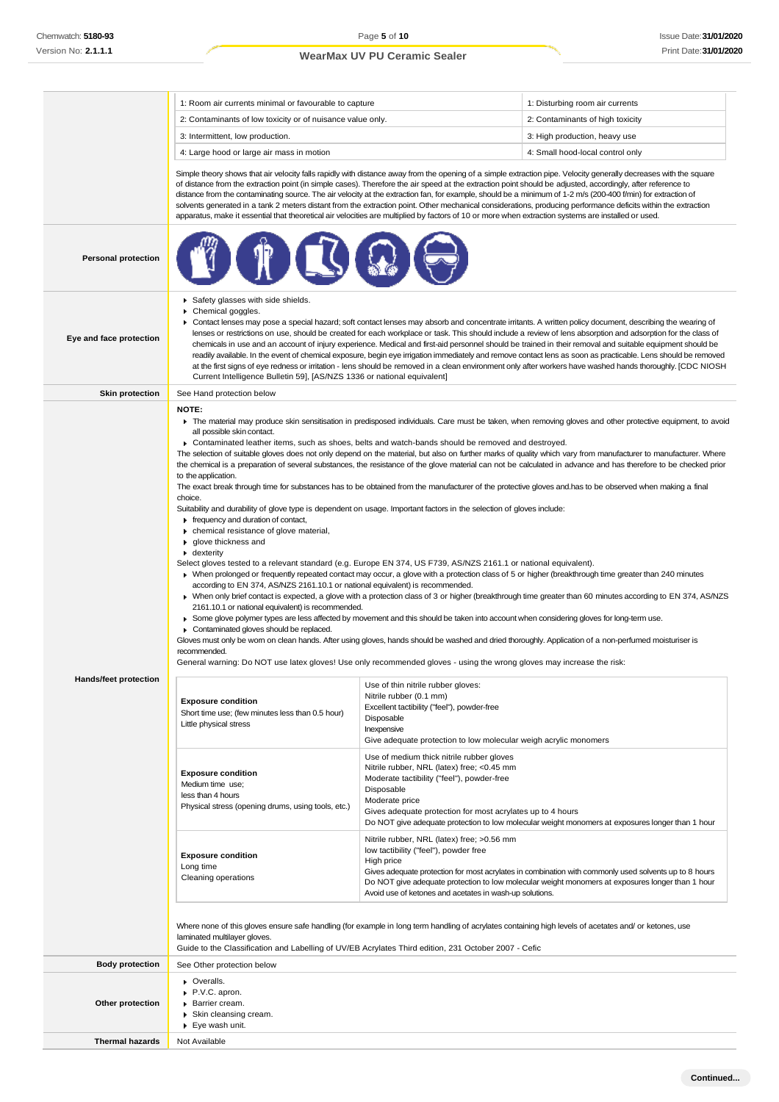|                                                                                                                                                                                                                                                                                                | 1: Room air currents minimal or favourable to capture                                                                                                                                                                                                                                                                                                                                                                                                                                                                                                                                                                                                                                                                                                                                                                                                                                                                                                                                                                                                                                                                                                                                                                                                                                                                                                                                                                                                                                                                                                                                                                                                                                                                                                                                                                                                                                                                                                                                                                                                                                                                                                                             |                                                                                                                                                                                                                                     | 1: Disturbing room air currents                                                                                                                                                                           |  |
|------------------------------------------------------------------------------------------------------------------------------------------------------------------------------------------------------------------------------------------------------------------------------------------------|-----------------------------------------------------------------------------------------------------------------------------------------------------------------------------------------------------------------------------------------------------------------------------------------------------------------------------------------------------------------------------------------------------------------------------------------------------------------------------------------------------------------------------------------------------------------------------------------------------------------------------------------------------------------------------------------------------------------------------------------------------------------------------------------------------------------------------------------------------------------------------------------------------------------------------------------------------------------------------------------------------------------------------------------------------------------------------------------------------------------------------------------------------------------------------------------------------------------------------------------------------------------------------------------------------------------------------------------------------------------------------------------------------------------------------------------------------------------------------------------------------------------------------------------------------------------------------------------------------------------------------------------------------------------------------------------------------------------------------------------------------------------------------------------------------------------------------------------------------------------------------------------------------------------------------------------------------------------------------------------------------------------------------------------------------------------------------------------------------------------------------------------------------------------------------------|-------------------------------------------------------------------------------------------------------------------------------------------------------------------------------------------------------------------------------------|-----------------------------------------------------------------------------------------------------------------------------------------------------------------------------------------------------------|--|
|                                                                                                                                                                                                                                                                                                | 2: Contaminants of low toxicity or of nuisance value only.                                                                                                                                                                                                                                                                                                                                                                                                                                                                                                                                                                                                                                                                                                                                                                                                                                                                                                                                                                                                                                                                                                                                                                                                                                                                                                                                                                                                                                                                                                                                                                                                                                                                                                                                                                                                                                                                                                                                                                                                                                                                                                                        |                                                                                                                                                                                                                                     | 2: Contaminants of high toxicity                                                                                                                                                                          |  |
|                                                                                                                                                                                                                                                                                                | 3: Intermittent, low production.                                                                                                                                                                                                                                                                                                                                                                                                                                                                                                                                                                                                                                                                                                                                                                                                                                                                                                                                                                                                                                                                                                                                                                                                                                                                                                                                                                                                                                                                                                                                                                                                                                                                                                                                                                                                                                                                                                                                                                                                                                                                                                                                                  |                                                                                                                                                                                                                                     | 3: High production, heavy use                                                                                                                                                                             |  |
|                                                                                                                                                                                                                                                                                                | 4: Large hood or large air mass in motion                                                                                                                                                                                                                                                                                                                                                                                                                                                                                                                                                                                                                                                                                                                                                                                                                                                                                                                                                                                                                                                                                                                                                                                                                                                                                                                                                                                                                                                                                                                                                                                                                                                                                                                                                                                                                                                                                                                                                                                                                                                                                                                                         |                                                                                                                                                                                                                                     | 4: Small hood-local control only                                                                                                                                                                          |  |
|                                                                                                                                                                                                                                                                                                | Simple theory shows that air velocity falls rapidly with distance away from the opening of a simple extraction pipe. Velocity generally decreases with the square<br>of distance from the extraction point (in simple cases). Therefore the air speed at the extraction point should be adjusted, accordingly, after reference to<br>distance from the contaminating source. The air velocity at the extraction fan, for example, should be a minimum of 1-2 m/s (200-400 f/min) for extraction of<br>solvents generated in a tank 2 meters distant from the extraction point. Other mechanical considerations, producing performance deficits within the extraction<br>apparatus, make it essential that theoretical air velocities are multiplied by factors of 10 or more when extraction systems are installed or used.                                                                                                                                                                                                                                                                                                                                                                                                                                                                                                                                                                                                                                                                                                                                                                                                                                                                                                                                                                                                                                                                                                                                                                                                                                                                                                                                                       |                                                                                                                                                                                                                                     |                                                                                                                                                                                                           |  |
| <b>Personal protection</b>                                                                                                                                                                                                                                                                     |                                                                                                                                                                                                                                                                                                                                                                                                                                                                                                                                                                                                                                                                                                                                                                                                                                                                                                                                                                                                                                                                                                                                                                                                                                                                                                                                                                                                                                                                                                                                                                                                                                                                                                                                                                                                                                                                                                                                                                                                                                                                                                                                                                                   |                                                                                                                                                                                                                                     |                                                                                                                                                                                                           |  |
| Eye and face protection                                                                                                                                                                                                                                                                        | Safety glasses with side shields.<br>▶ Chemical goggles.<br>▶ Contact lenses may pose a special hazard; soft contact lenses may absorb and concentrate irritants. A written policy document, describing the wearing of<br>lenses or restrictions on use, should be created for each workplace or task. This should include a review of lens absorption and adsorption for the class of<br>chemicals in use and an account of injury experience. Medical and first-aid personnel should be trained in their removal and suitable equipment should be<br>readily available. In the event of chemical exposure, begin eye irrigation immediately and remove contact lens as soon as practicable. Lens should be removed<br>at the first signs of eye redness or irritation - lens should be removed in a clean environment only after workers have washed hands thoroughly. [CDC NIOSH<br>Current Intelligence Bulletin 59], [AS/NZS 1336 or national equivalent]                                                                                                                                                                                                                                                                                                                                                                                                                                                                                                                                                                                                                                                                                                                                                                                                                                                                                                                                                                                                                                                                                                                                                                                                                    |                                                                                                                                                                                                                                     |                                                                                                                                                                                                           |  |
| <b>Skin protection</b>                                                                                                                                                                                                                                                                         | See Hand protection below                                                                                                                                                                                                                                                                                                                                                                                                                                                                                                                                                                                                                                                                                                                                                                                                                                                                                                                                                                                                                                                                                                                                                                                                                                                                                                                                                                                                                                                                                                                                                                                                                                                                                                                                                                                                                                                                                                                                                                                                                                                                                                                                                         |                                                                                                                                                                                                                                     |                                                                                                                                                                                                           |  |
| <b>Hands/feet protection</b>                                                                                                                                                                                                                                                                   | NOTE:<br>The material may produce skin sensitisation in predisposed individuals. Care must be taken, when removing gloves and other protective equipment, to avoid<br>all possible skin contact.<br>► Contaminated leather items, such as shoes, belts and watch-bands should be removed and destroyed.<br>The selection of suitable gloves does not only depend on the material, but also on further marks of quality which vary from manufacturer to manufacturer. Where<br>the chemical is a preparation of several substances, the resistance of the glove material can not be calculated in advance and has therefore to be checked prior<br>to the application.<br>The exact break through time for substances has to be obtained from the manufacturer of the protective gloves and has to be observed when making a final<br>choice.<br>Suitability and durability of glove type is dependent on usage. Important factors in the selection of gloves include:<br>Firequency and duration of contact,<br>chemical resistance of glove material,<br>glove thickness and<br>$\bullet$ dexterity<br>Select gloves tested to a relevant standard (e.g. Europe EN 374, US F739, AS/NZS 2161.1 or national equivalent).<br>• When prolonged or frequently repeated contact may occur, a glove with a protection class of 5 or higher (breakthrough time greater than 240 minutes<br>according to EN 374, AS/NZS 2161.10.1 or national equivalent) is recommended.<br>> When only brief contact is expected, a glove with a protection class of 3 or higher (breakthrough time greater than 60 minutes according to EN 374, AS/NZS<br>2161.10.1 or national equivalent) is recommended.<br>► Some glove polymer types are less affected by movement and this should be taken into account when considering gloves for long-term use.<br>Contaminated gloves should be replaced.<br>Gloves must only be wom on clean hands. After using gloves, hands should be washed and dried thoroughly. Application of a non-perfumed moisturiser is<br>recommended.<br>General warning: Do NOT use latex gloves! Use only recommended gloves - using the wrong gloves may increase the risk: |                                                                                                                                                                                                                                     |                                                                                                                                                                                                           |  |
|                                                                                                                                                                                                                                                                                                | <b>Exposure condition</b><br>Short time use; (few minutes less than 0.5 hour)<br>Little physical stress                                                                                                                                                                                                                                                                                                                                                                                                                                                                                                                                                                                                                                                                                                                                                                                                                                                                                                                                                                                                                                                                                                                                                                                                                                                                                                                                                                                                                                                                                                                                                                                                                                                                                                                                                                                                                                                                                                                                                                                                                                                                           | Nitrile rubber (0.1 mm)<br>Excellent tactibility ("feel"), powder-free<br>Disposable<br>Inexpensive<br>Give adequate protection to low molecular weigh acrylic monomers                                                             |                                                                                                                                                                                                           |  |
|                                                                                                                                                                                                                                                                                                | <b>Exposure condition</b><br>Medium time use;<br>less than 4 hours<br>Physical stress (opening drums, using tools, etc.)                                                                                                                                                                                                                                                                                                                                                                                                                                                                                                                                                                                                                                                                                                                                                                                                                                                                                                                                                                                                                                                                                                                                                                                                                                                                                                                                                                                                                                                                                                                                                                                                                                                                                                                                                                                                                                                                                                                                                                                                                                                          | Use of medium thick nitrile rubber gloves<br>Nitrile rubber, NRL (latex) free; <0.45 mm<br>Moderate tactibility ("feel"), powder-free<br>Disposable<br>Moderate price<br>Gives adequate protection for most acrylates up to 4 hours | Do NOT give adequate protection to low molecular weight monomers at exposures longer than 1 hour                                                                                                          |  |
|                                                                                                                                                                                                                                                                                                | <b>Exposure condition</b><br>Long time<br>Cleaning operations                                                                                                                                                                                                                                                                                                                                                                                                                                                                                                                                                                                                                                                                                                                                                                                                                                                                                                                                                                                                                                                                                                                                                                                                                                                                                                                                                                                                                                                                                                                                                                                                                                                                                                                                                                                                                                                                                                                                                                                                                                                                                                                     | Nitrile rubber, NRL (latex) free; >0.56 mm<br>low tactibility ("feel"), powder free<br>High price<br>Avoid use of ketones and acetates in wash-up solutions.                                                                        | Gives adequate protection for most acrylates in combination with commonly used solvents up to 8 hours<br>Do NOT give adequate protection to low molecular weight monomers at exposures longer than 1 hour |  |
| Where none of this gloves ensure safe handling (for example in long term handling of acrylates containing high levels of acetates and/ or ketones, use<br>laminated multilayer gloves.<br>Guide to the Classification and Labelling of UV/EB Acrylates Third edition, 231 October 2007 - Cefic |                                                                                                                                                                                                                                                                                                                                                                                                                                                                                                                                                                                                                                                                                                                                                                                                                                                                                                                                                                                                                                                                                                                                                                                                                                                                                                                                                                                                                                                                                                                                                                                                                                                                                                                                                                                                                                                                                                                                                                                                                                                                                                                                                                                   |                                                                                                                                                                                                                                     |                                                                                                                                                                                                           |  |
| <b>Body protection</b>                                                                                                                                                                                                                                                                         | See Other protection below                                                                                                                                                                                                                                                                                                                                                                                                                                                                                                                                                                                                                                                                                                                                                                                                                                                                                                                                                                                                                                                                                                                                                                                                                                                                                                                                                                                                                                                                                                                                                                                                                                                                                                                                                                                                                                                                                                                                                                                                                                                                                                                                                        |                                                                                                                                                                                                                                     |                                                                                                                                                                                                           |  |
| Other protection                                                                                                                                                                                                                                                                               | • Overalls.<br>P.V.C. apron.<br>Barrier cream.<br>▶ Skin cleansing cream.<br>▶ Eye wash unit.                                                                                                                                                                                                                                                                                                                                                                                                                                                                                                                                                                                                                                                                                                                                                                                                                                                                                                                                                                                                                                                                                                                                                                                                                                                                                                                                                                                                                                                                                                                                                                                                                                                                                                                                                                                                                                                                                                                                                                                                                                                                                     |                                                                                                                                                                                                                                     |                                                                                                                                                                                                           |  |
| <b>Thermal hazards</b>                                                                                                                                                                                                                                                                         | Not Available                                                                                                                                                                                                                                                                                                                                                                                                                                                                                                                                                                                                                                                                                                                                                                                                                                                                                                                                                                                                                                                                                                                                                                                                                                                                                                                                                                                                                                                                                                                                                                                                                                                                                                                                                                                                                                                                                                                                                                                                                                                                                                                                                                     |                                                                                                                                                                                                                                     |                                                                                                                                                                                                           |  |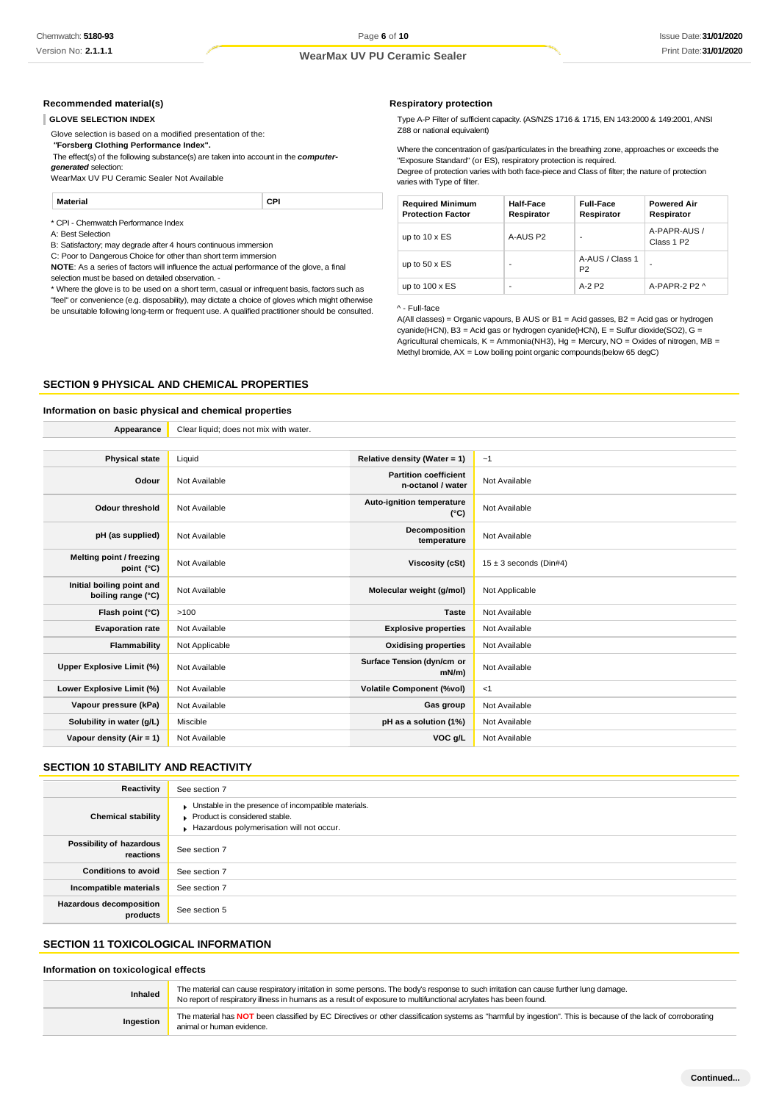#### **Recommended material(s)**

#### **GLOVE SELECTION INDEX**

Glove selection is based on a modified presentation of the:

*"***Forsberg Clothing Performance Index".**

The effect(s) of the following substance(s) are taken into account in the *computergenerated* selection:

WearMax UV PU Ceramic Sealer Not Available

#### **Material CPI**

\* CPI - Chemwatch Performance Index

A: Best Selection

B: Satisfactory; may degrade after 4 hours continuous immersion

C: Poor to Dangerous Choice for other than short term immersion

**NOTE**: As a series of factors will influence the actual performance of the glove, a final selection must be based on detailed observation. -

\* Where the glove is to be used on a short term, casual or infrequent basis, factors such as "feel" or convenience (e.g. disposability), may dictate a choice of gloves which might otherwise be unsuitable following long-term or frequent use. A qualified practitioner should be consulted.

#### **Respiratory protection**

Type A-P Filter of sufficient capacity. (AS/NZS 1716 & 1715, EN 143:2000 & 149:2001, ANSI Z88 or national equivalent)

Where the concentration of gas/particulates in the breathing zone, approaches or exceeds the "Exposure Standard" (or ES), respiratory protection is required.

Degree of protection varies with both face-piece and Class of filter; the nature of protection varies with Type of filter.

| <b>Required Minimum</b><br><b>Protection Factor</b> | Half-Face<br>Respirator | <b>Full-Face</b><br>Respirator    | <b>Powered Air</b><br>Respirator       |
|-----------------------------------------------------|-------------------------|-----------------------------------|----------------------------------------|
| up to $10 \times ES$                                | A-AUS P2                |                                   | A-PAPR-AUS /<br>Class 1 P <sub>2</sub> |
| up to $50 \times ES$                                |                         | A-AUS / Class 1<br>P <sub>2</sub> | -                                      |
| up to $100 \times ES$                               | -                       | $A-2P2$                           | A-PAPR-2 P2 ^                          |

#### ^ - Full-face

A(All classes) = Organic vapours, B AUS or B1 = Acid gasses, B2 = Acid gas or hydrogen cyanide(HCN), B3 = Acid gas or hydrogen cyanide(HCN), E = Sulfur dioxide(SO2), G = Agricultural chemicals,  $K =$  Ammonia(NH3), Hg = Mercury, NO = Oxides of nitrogen, MB = Methyl bromide, AX = Low boiling point organic compounds(below 65 degC)

#### **SECTION 9 PHYSICAL AND CHEMICAL PROPERTIES**

#### **Information on basic physical and chemical properties**

| Appearance                                      | Clear liquid; does not mix with water. |                                                   |                            |
|-------------------------------------------------|----------------------------------------|---------------------------------------------------|----------------------------|
|                                                 |                                        |                                                   |                            |
| <b>Physical state</b>                           | Liquid                                 | Relative density (Water = 1)                      | ~1                         |
| Odour                                           | Not Available                          | <b>Partition coefficient</b><br>n-octanol / water | Not Available              |
| <b>Odour threshold</b>                          | Not Available                          | Auto-ignition temperature<br>$(^{\circ}C)$        | Not Available              |
| pH (as supplied)                                | Not Available                          | Decomposition<br>temperature                      | Not Available              |
| Melting point / freezing<br>point (°C)          | Not Available                          | Viscosity (cSt)                                   | $15 \pm 3$ seconds (Din#4) |
| Initial boiling point and<br>boiling range (°C) | Not Available                          | Molecular weight (g/mol)                          | Not Applicable             |
| Flash point (°C)                                | >100                                   | <b>Taste</b>                                      | Not Available              |
| <b>Evaporation rate</b>                         | Not Available                          | <b>Explosive properties</b>                       | Not Available              |
| Flammability                                    | Not Applicable                         | <b>Oxidising properties</b>                       | Not Available              |
| Upper Explosive Limit (%)                       | Not Available                          | Surface Tension (dyn/cm or<br>$mN/m$ )            | Not Available              |
| Lower Explosive Limit (%)                       | Not Available                          | <b>Volatile Component (%vol)</b>                  | <1                         |
| Vapour pressure (kPa)                           | Not Available                          | Gas group                                         | Not Available              |
| Solubility in water (g/L)                       | Miscible                               | pH as a solution (1%)                             | Not Available              |
| Vapour density (Air = 1)                        | Not Available                          | VOC g/L                                           | Not Available              |

### **SECTION 10 STABILITY AND REACTIVITY**

| Reactivity                            | See section 7                                                                                                                    |
|---------------------------------------|----------------------------------------------------------------------------------------------------------------------------------|
| <b>Chemical stability</b>             | Unstable in the presence of incompatible materials.<br>Product is considered stable.<br>Hazardous polymerisation will not occur. |
| Possibility of hazardous<br>reactions | See section 7                                                                                                                    |
| <b>Conditions to avoid</b>            | See section 7                                                                                                                    |
| Incompatible materials                | See section 7                                                                                                                    |
| Hazardous decomposition<br>products   | See section 5                                                                                                                    |

#### **SECTION 11 TOXICOLOGICAL INFORMATION**

#### **Information on toxicological effects**

| Inhaled   | The material can cause respiratory irritation in some persons. The body's response to such irritation can cause further lung damage.<br>No report of respiratory illness in humans as a result of exposure to multifunctional acrylates has been found. |
|-----------|---------------------------------------------------------------------------------------------------------------------------------------------------------------------------------------------------------------------------------------------------------|
| Ingestion | The material has NOT been classified by EC Directives or other classification systems as "harmful by ingestion". This is because of the lack of corroborating<br>animal or human evidence.                                                              |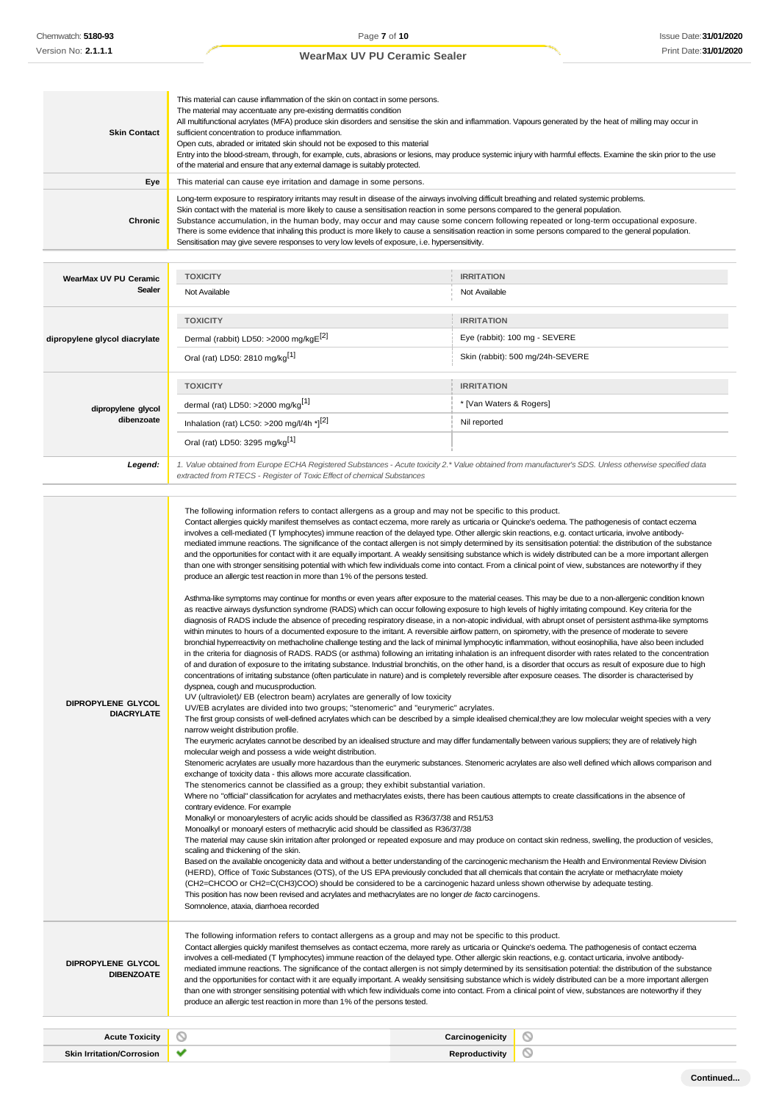| <b>Skin Contact</b>                     | This material can cause inflammation of the skin on contact in some persons.<br>The material may accentuate any pre-existing dermatitis condition<br>All multifunctional acrylates (MFA) produce skin disorders and sensitise the skin and inflammation. Vapours generated by the heat of milling may occur in<br>sufficient concentration to produce inflammation.<br>Open cuts, abraded or irritated skin should not be exposed to this material<br>Entry into the blood-stream, through, for example, cuts, abrasions or lesions, may produce systemic injury with harmful effects. Examine the skin prior to the use<br>of the material and ensure that any external damage is suitably protected.                                                                                                                                                                                                                                                                                                                                                                                                                                                                                                                                                                                                                                                                                                                                                                                                                                                                                                                                                                                                                                                                                                                                                                                                                                                                                                                                                                                                                                                                                                                                                                                                                                                                                                                                                                                                                                                                                                                                                                                                                                                                                                                                                                                                                                                                                                                                                                                                                                                                                                                                                                                                                                                                                                                                                                                                                                                                                                                                                                                                                                                                                                                                                                                                                                                                                                                                                                                                                                                                                                                                                                                                                                                                                                                       |                                                                                                                                                                                                                                                                                                                                                                                                                                                                                     |  |
|-----------------------------------------|------------------------------------------------------------------------------------------------------------------------------------------------------------------------------------------------------------------------------------------------------------------------------------------------------------------------------------------------------------------------------------------------------------------------------------------------------------------------------------------------------------------------------------------------------------------------------------------------------------------------------------------------------------------------------------------------------------------------------------------------------------------------------------------------------------------------------------------------------------------------------------------------------------------------------------------------------------------------------------------------------------------------------------------------------------------------------------------------------------------------------------------------------------------------------------------------------------------------------------------------------------------------------------------------------------------------------------------------------------------------------------------------------------------------------------------------------------------------------------------------------------------------------------------------------------------------------------------------------------------------------------------------------------------------------------------------------------------------------------------------------------------------------------------------------------------------------------------------------------------------------------------------------------------------------------------------------------------------------------------------------------------------------------------------------------------------------------------------------------------------------------------------------------------------------------------------------------------------------------------------------------------------------------------------------------------------------------------------------------------------------------------------------------------------------------------------------------------------------------------------------------------------------------------------------------------------------------------------------------------------------------------------------------------------------------------------------------------------------------------------------------------------------------------------------------------------------------------------------------------------------------------------------------------------------------------------------------------------------------------------------------------------------------------------------------------------------------------------------------------------------------------------------------------------------------------------------------------------------------------------------------------------------------------------------------------------------------------------------------------------------------------------------------------------------------------------------------------------------------------------------------------------------------------------------------------------------------------------------------------------------------------------------------------------------------------------------------------------------------------------------------------------------------------------------------------------------------------------------------------------------------------------------------------------------------------------------------------------------------------------------------------------------------------------------------------------------------------------------------------------------------------------------------------------------------------------------------------------------------------------------------------------------------------------------------------------------------------------------------------------------------------------------------------------------|-------------------------------------------------------------------------------------------------------------------------------------------------------------------------------------------------------------------------------------------------------------------------------------------------------------------------------------------------------------------------------------------------------------------------------------------------------------------------------------|--|
| Eye                                     | This material can cause eye irritation and damage in some persons.                                                                                                                                                                                                                                                                                                                                                                                                                                                                                                                                                                                                                                                                                                                                                                                                                                                                                                                                                                                                                                                                                                                                                                                                                                                                                                                                                                                                                                                                                                                                                                                                                                                                                                                                                                                                                                                                                                                                                                                                                                                                                                                                                                                                                                                                                                                                                                                                                                                                                                                                                                                                                                                                                                                                                                                                                                                                                                                                                                                                                                                                                                                                                                                                                                                                                                                                                                                                                                                                                                                                                                                                                                                                                                                                                                                                                                                                                                                                                                                                                                                                                                                                                                                                                                                                                                                                                           |                                                                                                                                                                                                                                                                                                                                                                                                                                                                                     |  |
| Chronic                                 | Long-term exposure to respiratory irritants may result in disease of the airways involving difficult breathing and related systemic problems.<br>Skin contact with the material is more likely to cause a sensitisation reaction in some persons compared to the general population.<br>Substance accumulation, in the human body, may occur and may cause some concern following repeated or long-term occupational exposure.<br>There is some evidence that inhaling this product is more likely to cause a sensitisation reaction in some persons compared to the general population.<br>Sensitisation may give severe responses to very low levels of exposure, i.e. hypersensitivity.                                                                                                                                                                                                                                                                                                                                                                                                                                                                                                                                                                                                                                                                                                                                                                                                                                                                                                                                                                                                                                                                                                                                                                                                                                                                                                                                                                                                                                                                                                                                                                                                                                                                                                                                                                                                                                                                                                                                                                                                                                                                                                                                                                                                                                                                                                                                                                                                                                                                                                                                                                                                                                                                                                                                                                                                                                                                                                                                                                                                                                                                                                                                                                                                                                                                                                                                                                                                                                                                                                                                                                                                                                                                                                                                   |                                                                                                                                                                                                                                                                                                                                                                                                                                                                                     |  |
|                                         |                                                                                                                                                                                                                                                                                                                                                                                                                                                                                                                                                                                                                                                                                                                                                                                                                                                                                                                                                                                                                                                                                                                                                                                                                                                                                                                                                                                                                                                                                                                                                                                                                                                                                                                                                                                                                                                                                                                                                                                                                                                                                                                                                                                                                                                                                                                                                                                                                                                                                                                                                                                                                                                                                                                                                                                                                                                                                                                                                                                                                                                                                                                                                                                                                                                                                                                                                                                                                                                                                                                                                                                                                                                                                                                                                                                                                                                                                                                                                                                                                                                                                                                                                                                                                                                                                                                                                                                                                              |                                                                                                                                                                                                                                                                                                                                                                                                                                                                                     |  |
| WearMax UV PU Ceramic<br>Sealer         | <b>TOXICITY</b><br>Not Available                                                                                                                                                                                                                                                                                                                                                                                                                                                                                                                                                                                                                                                                                                                                                                                                                                                                                                                                                                                                                                                                                                                                                                                                                                                                                                                                                                                                                                                                                                                                                                                                                                                                                                                                                                                                                                                                                                                                                                                                                                                                                                                                                                                                                                                                                                                                                                                                                                                                                                                                                                                                                                                                                                                                                                                                                                                                                                                                                                                                                                                                                                                                                                                                                                                                                                                                                                                                                                                                                                                                                                                                                                                                                                                                                                                                                                                                                                                                                                                                                                                                                                                                                                                                                                                                                                                                                                                             | <b>IRRITATION</b><br>Not Available                                                                                                                                                                                                                                                                                                                                                                                                                                                  |  |
|                                         |                                                                                                                                                                                                                                                                                                                                                                                                                                                                                                                                                                                                                                                                                                                                                                                                                                                                                                                                                                                                                                                                                                                                                                                                                                                                                                                                                                                                                                                                                                                                                                                                                                                                                                                                                                                                                                                                                                                                                                                                                                                                                                                                                                                                                                                                                                                                                                                                                                                                                                                                                                                                                                                                                                                                                                                                                                                                                                                                                                                                                                                                                                                                                                                                                                                                                                                                                                                                                                                                                                                                                                                                                                                                                                                                                                                                                                                                                                                                                                                                                                                                                                                                                                                                                                                                                                                                                                                                                              |                                                                                                                                                                                                                                                                                                                                                                                                                                                                                     |  |
|                                         | <b>TOXICITY</b>                                                                                                                                                                                                                                                                                                                                                                                                                                                                                                                                                                                                                                                                                                                                                                                                                                                                                                                                                                                                                                                                                                                                                                                                                                                                                                                                                                                                                                                                                                                                                                                                                                                                                                                                                                                                                                                                                                                                                                                                                                                                                                                                                                                                                                                                                                                                                                                                                                                                                                                                                                                                                                                                                                                                                                                                                                                                                                                                                                                                                                                                                                                                                                                                                                                                                                                                                                                                                                                                                                                                                                                                                                                                                                                                                                                                                                                                                                                                                                                                                                                                                                                                                                                                                                                                                                                                                                                                              | <b>IRRITATION</b>                                                                                                                                                                                                                                                                                                                                                                                                                                                                   |  |
| dipropylene glycol diacrylate           | Dermal (rabbit) LD50: >2000 mg/kgE <sup>[2]</sup>                                                                                                                                                                                                                                                                                                                                                                                                                                                                                                                                                                                                                                                                                                                                                                                                                                                                                                                                                                                                                                                                                                                                                                                                                                                                                                                                                                                                                                                                                                                                                                                                                                                                                                                                                                                                                                                                                                                                                                                                                                                                                                                                                                                                                                                                                                                                                                                                                                                                                                                                                                                                                                                                                                                                                                                                                                                                                                                                                                                                                                                                                                                                                                                                                                                                                                                                                                                                                                                                                                                                                                                                                                                                                                                                                                                                                                                                                                                                                                                                                                                                                                                                                                                                                                                                                                                                                                            | Eye (rabbit): 100 mg - SEVERE                                                                                                                                                                                                                                                                                                                                                                                                                                                       |  |
|                                         | Oral (rat) LD50: 2810 mg/kg <sup>[1]</sup>                                                                                                                                                                                                                                                                                                                                                                                                                                                                                                                                                                                                                                                                                                                                                                                                                                                                                                                                                                                                                                                                                                                                                                                                                                                                                                                                                                                                                                                                                                                                                                                                                                                                                                                                                                                                                                                                                                                                                                                                                                                                                                                                                                                                                                                                                                                                                                                                                                                                                                                                                                                                                                                                                                                                                                                                                                                                                                                                                                                                                                                                                                                                                                                                                                                                                                                                                                                                                                                                                                                                                                                                                                                                                                                                                                                                                                                                                                                                                                                                                                                                                                                                                                                                                                                                                                                                                                                   | Skin (rabbit): 500 mg/24h-SEVERE                                                                                                                                                                                                                                                                                                                                                                                                                                                    |  |
|                                         | <b>TOXICITY</b>                                                                                                                                                                                                                                                                                                                                                                                                                                                                                                                                                                                                                                                                                                                                                                                                                                                                                                                                                                                                                                                                                                                                                                                                                                                                                                                                                                                                                                                                                                                                                                                                                                                                                                                                                                                                                                                                                                                                                                                                                                                                                                                                                                                                                                                                                                                                                                                                                                                                                                                                                                                                                                                                                                                                                                                                                                                                                                                                                                                                                                                                                                                                                                                                                                                                                                                                                                                                                                                                                                                                                                                                                                                                                                                                                                                                                                                                                                                                                                                                                                                                                                                                                                                                                                                                                                                                                                                                              | <b>IRRITATION</b>                                                                                                                                                                                                                                                                                                                                                                                                                                                                   |  |
| dipropylene glycol                      | dermal (rat) LD50: >2000 mg/kg <sup>[1]</sup>                                                                                                                                                                                                                                                                                                                                                                                                                                                                                                                                                                                                                                                                                                                                                                                                                                                                                                                                                                                                                                                                                                                                                                                                                                                                                                                                                                                                                                                                                                                                                                                                                                                                                                                                                                                                                                                                                                                                                                                                                                                                                                                                                                                                                                                                                                                                                                                                                                                                                                                                                                                                                                                                                                                                                                                                                                                                                                                                                                                                                                                                                                                                                                                                                                                                                                                                                                                                                                                                                                                                                                                                                                                                                                                                                                                                                                                                                                                                                                                                                                                                                                                                                                                                                                                                                                                                                                                | * [Van Waters & Rogers]                                                                                                                                                                                                                                                                                                                                                                                                                                                             |  |
| dibenzoate                              | Inhalation (rat) LC50: >200 mg/l/4h * $]^{[2]}$                                                                                                                                                                                                                                                                                                                                                                                                                                                                                                                                                                                                                                                                                                                                                                                                                                                                                                                                                                                                                                                                                                                                                                                                                                                                                                                                                                                                                                                                                                                                                                                                                                                                                                                                                                                                                                                                                                                                                                                                                                                                                                                                                                                                                                                                                                                                                                                                                                                                                                                                                                                                                                                                                                                                                                                                                                                                                                                                                                                                                                                                                                                                                                                                                                                                                                                                                                                                                                                                                                                                                                                                                                                                                                                                                                                                                                                                                                                                                                                                                                                                                                                                                                                                                                                                                                                                                                              | Nil reported                                                                                                                                                                                                                                                                                                                                                                                                                                                                        |  |
|                                         | Oral (rat) LD50: 3295 mg/kg <sup>[1]</sup>                                                                                                                                                                                                                                                                                                                                                                                                                                                                                                                                                                                                                                                                                                                                                                                                                                                                                                                                                                                                                                                                                                                                                                                                                                                                                                                                                                                                                                                                                                                                                                                                                                                                                                                                                                                                                                                                                                                                                                                                                                                                                                                                                                                                                                                                                                                                                                                                                                                                                                                                                                                                                                                                                                                                                                                                                                                                                                                                                                                                                                                                                                                                                                                                                                                                                                                                                                                                                                                                                                                                                                                                                                                                                                                                                                                                                                                                                                                                                                                                                                                                                                                                                                                                                                                                                                                                                                                   |                                                                                                                                                                                                                                                                                                                                                                                                                                                                                     |  |
| Legend:                                 | extracted from RTECS - Register of Toxic Effect of chemical Substances                                                                                                                                                                                                                                                                                                                                                                                                                                                                                                                                                                                                                                                                                                                                                                                                                                                                                                                                                                                                                                                                                                                                                                                                                                                                                                                                                                                                                                                                                                                                                                                                                                                                                                                                                                                                                                                                                                                                                                                                                                                                                                                                                                                                                                                                                                                                                                                                                                                                                                                                                                                                                                                                                                                                                                                                                                                                                                                                                                                                                                                                                                                                                                                                                                                                                                                                                                                                                                                                                                                                                                                                                                                                                                                                                                                                                                                                                                                                                                                                                                                                                                                                                                                                                                                                                                                                                       | 1. Value obtained from Europe ECHA Registered Substances - Acute toxicity 2.* Value obtained from manufacturer's SDS. Unless otherwise specified data                                                                                                                                                                                                                                                                                                                               |  |
| DIPROPYLENE GLYCOL<br><b>DIACRYLATE</b> | The following information refers to contact allergens as a group and may not be specific to this product.<br>Contact allergies quickly manifest themselves as contact eczema, more rarely as urticaria or Quincke's oedema. The pathogenesis of contact eczema<br>involves a cell-mediated (T lymphocytes) immune reaction of the delayed type. Other allergic skin reactions, e.g. contact urticaria, involve antibody-<br>mediated immune reactions. The significance of the contact allergen is not simply determined by its sensitisation potential: the distribution of the substance<br>and the opportunities for contact with it are equally important. A weakly sensitising substance which is widely distributed can be a more important allergen<br>than one with stronger sensitising potential with which few individuals come into contact. From a clinical point of view, substances are noteworthy if they<br>produce an allergic test reaction in more than 1% of the persons tested.<br>Asthma-like symptoms may continue for months or even years after exposure to the material ceases. This may be due to a non-allergenic condition known<br>as reactive airways dysfunction syndrome (RADS) which can occur following exposure to high levels of highly irritating compound. Key criteria for the<br>diagnosis of RADS include the absence of preceding respiratory disease, in a non-atopic individual, with abrupt onset of persistent asthma-like symptoms<br>within minutes to hours of a documented exposure to the irritant. A reversible airflow pattern, on spirometry, with the presence of moderate to severe<br>bronchial hyperreactivity on methacholine challenge testing and the lack of minimal lymphocytic inflammation, without eosinophilia, have also been included<br>in the criteria for diagnosis of RADS. RADS (or asthma) following an irritating inhalation is an infrequent disorder with rates related to the concentration<br>of and duration of exposure to the irritating substance. Industrial bronchitis, on the other hand, is a disorder that occurs as result of exposure due to high<br>concentrations of irritating substance (often particulate in nature) and is completely reversible after exposure ceases. The disorder is characterised by<br>dyspnea, cough and mucus production.<br>UV (ultraviolet)/ EB (electron beam) acrylates are generally of low toxicity<br>UV/EB acrylates are divided into two groups; "stenomeric" and "eurymeric" acrylates.<br>The first group consists of well-defined acrylates which can be described by a simple idealised chemical; they are low molecular weight species with a very<br>narrow weight distribution profile.<br>The eurymeric acrylates cannot be described by an idealised structure and may differ fundamentally between various suppliers; they are of relatively high<br>molecular weigh and possess a wide weight distribution.<br>Stenomeric acrylates are usually more hazardous than the eurymeric substances. Stenomeric acrylates are also well defined which allows comparison and<br>exchange of toxicity data - this allows more accurate classification.<br>The stenomerics cannot be classified as a group; they exhibit substantial variation.<br>Where no "official" classification for acrylates and methacrylates exists, there has been cautious attempts to create classifications in the absence of<br>contrary evidence. For example<br>Monalkyl or monoarylesters of acrylic acids should be classified as R36/37/38 and R51/53<br>Monoalkyl or monoaryl esters of methacrylic acid should be classified as R36/37/38<br>The material may cause skin irritation after prolonged or repeated exposure and may produce on contact skin redness, swelling, the production of vesicles,<br>scaling and thickening of the skin.<br>Based on the available oncogenicity data and without a better understanding of the carcinogenic mechanism the Health and Environmental Review Division<br>(HERD), Office of Toxic Substances (OTS), of the US EPA previously concluded that all chemicals that contain the acrylate or methacrylate moiety<br>(CH2=CHCOO or CH2=C(CH3)COO) should be considered to be a carcinogenic hazard unless shown otherwise by adequate testing.<br>This position has now been revised and acrylates and methacrylates are no longer de facto carcinogens. |                                                                                                                                                                                                                                                                                                                                                                                                                                                                                     |  |
| DIPROPYLENE GLYCOL<br><b>DIBENZOATE</b> | The following information refers to contact allergens as a group and may not be specific to this product.<br>involves a cell-mediated (T lymphocytes) immune reaction of the delayed type. Other allergic skin reactions, e.g. contact urticaria, involve antibody-                                                                                                                                                                                                                                                                                                                                                                                                                                                                                                                                                                                                                                                                                                                                                                                                                                                                                                                                                                                                                                                                                                                                                                                                                                                                                                                                                                                                                                                                                                                                                                                                                                                                                                                                                                                                                                                                                                                                                                                                                                                                                                                                                                                                                                                                                                                                                                                                                                                                                                                                                                                                                                                                                                                                                                                                                                                                                                                                                                                                                                                                                                                                                                                                                                                                                                                                                                                                                                                                                                                                                                                                                                                                                                                                                                                                                                                                                                                                                                                                                                                                                                                                                          | Contact allergies quickly manifest themselves as contact eczema, more rarely as urticaria or Quincke's oedema. The pathogenesis of contact eczema<br>mediated immune reactions. The significance of the contact allergen is not simply determined by its sensitisation potential: the distribution of the substance<br>and the opportunities for contact with it are equally important. A weakly sensitising substance which is widely distributed can be a more important allergen |  |

| <b>Acute Toxic</b><br>، oxicity | $\sim$ | ∵nicitv∴ |  |
|---------------------------------|--------|----------|--|
| e bir<br>:orrosion              |        |          |  |

produce an allergic test reaction in more than 1% of the persons tested.

than one with stronger sensitising potential with which few individuals come into contact. From a clinical point of view, substances are noteworthy if they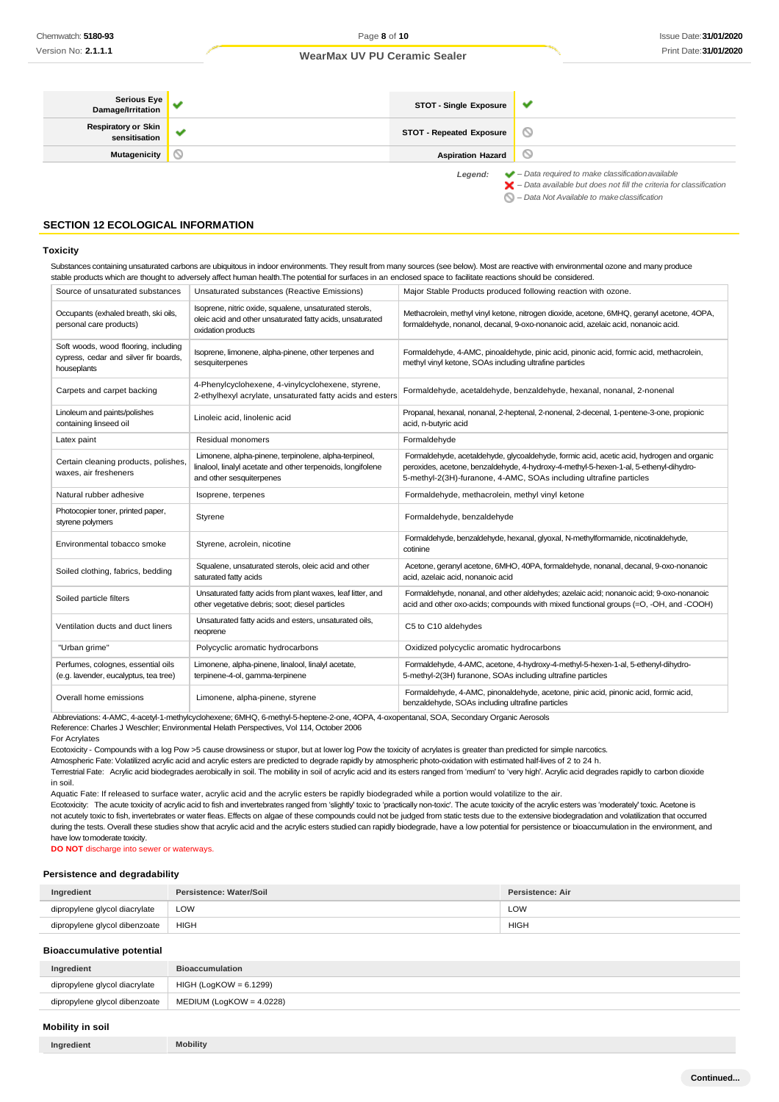| <b>Serious Eye</b><br>Damage/Irritation     | STOT - Single Exposure          | v                                                                                                                                                                  |
|---------------------------------------------|---------------------------------|--------------------------------------------------------------------------------------------------------------------------------------------------------------------|
| <b>Respiratory or Skin</b><br>sensitisation | <b>STOT - Repeated Exposure</b> | $\circ$                                                                                                                                                            |
| <b>Mutagenicity</b>                         | <b>Aspiration Hazard</b>        | $\circ$                                                                                                                                                            |
|                                             | Legend:                         | $\blacktriangleright$ - Data required to make classification available<br>$\blacktriangleright$ - Data available but does not fill the criteria for classification |

*– Data Not Available to makeclassification*

### **SECTION 12 ECOLOGICAL INFORMATION**

#### **Toxicity**

Substances containing unsaturated carbons are ubiquitous in indoor environments. They result from many sources (see below). Most are reactive with environmental ozone and many produce stable products which are thought to adversely affect human health.The potential for surfaces in an enclosed space to facilitate reactions should be considered. Source of unsaturated substances Unsaturated substances (Reactive Emissions) Major Stable Products produced following reaction with ozone.

| Occupants (exhaled breath, ski oils,<br>personal care products)                              | Isoprene, nitric oxide, squalene, unsaturated sterols,<br>oleic acid and other unsaturated fatty acids, unsaturated<br>oxidation products        | Methacrolein, methyl vinyl ketone, nitrogen dioxide, acetone, 6MHQ, geranyl acetone, 4OPA,<br>formaldehyde, nonanol, decanal, 9-oxo-nonanoic acid, azelaic acid, nonanoic acid.                                                                          |
|----------------------------------------------------------------------------------------------|--------------------------------------------------------------------------------------------------------------------------------------------------|----------------------------------------------------------------------------------------------------------------------------------------------------------------------------------------------------------------------------------------------------------|
| Soft woods, wood flooring, including<br>cypress, cedar and silver fir boards,<br>houseplants | Isoprene, limonene, alpha-pinene, other terpenes and<br>sesquiterpenes                                                                           | Formaldehyde, 4-AMC, pinoaldehyde, pinic acid, pinonic acid, formic acid, methacrolein,<br>methyl vinyl ketone, SOAs including ultrafine particles                                                                                                       |
| Carpets and carpet backing                                                                   | 4-Phenylcyclohexene, 4-vinylcyclohexene, styrene,<br>2-ethylhexyl acrylate, unsaturated fatty acids and esters                                   | Formaldehyde, acetaldehyde, benzaldehyde, hexanal, nonanal, 2-nonenal                                                                                                                                                                                    |
| Linoleum and paints/polishes<br>containing linseed oil                                       | Linoleic acid, linolenic acid                                                                                                                    | Propanal, hexanal, nonanal, 2-heptenal, 2-nonenal, 2-decenal, 1-pentene-3-one, propionic<br>acid, n-butyric acid                                                                                                                                         |
| Latex paint                                                                                  | Residual monomers                                                                                                                                | Formaldehyde                                                                                                                                                                                                                                             |
| Certain cleaning products, polishes,<br>waxes, air fresheners                                | Limonene, alpha-pinene, terpinolene, alpha-terpineol,<br>linalool, linalyl acetate and other terpenoids, longifolene<br>and other sesquiterpenes | Formaldehyde, acetaldehyde, glycoaldehyde, formic acid, acetic acid, hydrogen and organic<br>peroxides, acetone, benzaldehyde, 4-hydroxy-4-methyl-5-hexen-1-al, 5-ethenyl-dihydro-<br>5-methyl-2(3H)-furanone, 4-AMC, SOAs including ultrafine particles |
| Natural rubber adhesive                                                                      | Isoprene, terpenes                                                                                                                               | Formaldehyde, methacrolein, methyl vinyl ketone                                                                                                                                                                                                          |
| Photocopier toner, printed paper,<br>styrene polymers                                        | Styrene                                                                                                                                          | Formaldehyde, benzaldehyde                                                                                                                                                                                                                               |
| Environmental tobacco smoke                                                                  | Styrene, acrolein, nicotine                                                                                                                      | Formaldehyde, benzaldehyde, hexanal, glyoxal, N-methylformamide, nicotinaldehyde,<br>cotinine                                                                                                                                                            |
| Soiled clothing, fabrics, bedding                                                            | Squalene, unsaturated sterols, oleic acid and other<br>saturated fatty acids                                                                     | Acetone, geranyl acetone, 6MHO, 40PA, formaldehyde, nonanal, decanal, 9-oxo-nonanoic<br>acid, azelaic acid, nonanoic acid                                                                                                                                |
| Soiled particle filters                                                                      | Unsaturated fatty acids from plant waxes, leaf litter, and<br>other vegetative debris; soot; diesel particles                                    | Formaldehyde, nonanal, and other aldehydes; azelaic acid; nonanoic acid; 9-oxo-nonanoic<br>acid and other oxo-acids; compounds with mixed functional groups (=O, -OH, and -COOH)                                                                         |
| Ventilation ducts and duct liners                                                            | Unsaturated fatty acids and esters, unsaturated oils,<br>neoprene                                                                                | C5 to C10 aldehydes                                                                                                                                                                                                                                      |
| "Urban grime"                                                                                | Polycyclic aromatic hydrocarbons                                                                                                                 | Oxidized polycyclic aromatic hydrocarbons                                                                                                                                                                                                                |
| Perfumes, colognes, essential oils<br>(e.g. lavender, eucalyptus, tea tree)                  | Limonene, alpha-pinene, linalool, linalyl acetate,<br>terpinene-4-ol, gamma-terpinene                                                            | Formaldehyde, 4-AMC, acetone, 4-hydroxy-4-methyl-5-hexen-1-al, 5-ethenyl-dihydro-<br>5-methyl-2(3H) furanone, SOAs including ultrafine particles                                                                                                         |
| Overall home emissions                                                                       | Limonene, alpha-pinene, styrene                                                                                                                  | Formaldehyde, 4-AMC, pinonaldehyde, acetone, pinic acid, pinonic acid, formic acid,<br>benzaldehyde, SOAs including ultrafine particles                                                                                                                  |

Abbreviations: 4-AMC, 4-acetyl-1-methylcyclohexene; 6MHQ, 6-methyl-5-heptene-2-one, 4OPA, 4-oxopentanal, SOA, Secondary Organic Aerosols Reference: Charles J Weschler; Environmental Helath Perspectives, Vol 114, October 2006

For Acrylates

Ecotoxicity - Compounds with a log Pow >5 cause drowsiness or stupor, but at lower log Pow the toxicity of acrylates is greater than predicted for simple narcotics.

Atmospheric Fate: Volatilized acrylic acid and acrylic esters are predicted to degrade rapidly by atmospheric photo-oxidation with estimated half-lives of 2 to 24 h.

Terrestrial Fate: Acrylic acid biodegrades aerobically in soil. The mobility in soil of acrylic acid and its esters ranged from 'medium' to 'very high'. Acrylic acid degrades rapidly to carbon dioxide in soil.

Aquatic Fate: If released to surface water, acrylic acid and the acrylic esters be rapidly biodegraded while a portion would volatilize to the air.

Ecotoxicity: The acute toxicity of acrylic acid to fish and invertebrates ranged from 'slightly' toxic to 'practically non-toxic'. The acute toxicity of the acrylic esters was 'moderately' toxic. Acetone is not acutely toxic to fish, invertebrates or water fleas. Effects on algae of these compounds could not be judged from static tests due to the extensive biodegradation and volatilization that occurred during the tests. Overall these studies show that acrylic acid and the acrylic esters studied can rapidly biodegrade, have a low potential for persistence or bioaccumulation in the environment, and have low tomoderate toxicity.

**DO NOT** discharge into sewer or waterways.

#### **Persistence and degradability**

| Ingredient                    | Persistence: Water/Soil | Persistence: Air |
|-------------------------------|-------------------------|------------------|
| dipropylene glycol diacrylate | LOW                     | LOW              |
| dipropylene glycol dibenzoate | HIGH                    | <b>HIGH</b>      |

#### **Bioaccumulative potential**

| Ingredient                    | <b>Bioaccumulation</b>      |
|-------------------------------|-----------------------------|
| dipropylene glycol diacrylate | HIGH (LogKOW = 6.1299)      |
| dipropylene glycol dibenzoate | MEDIUM (LogKOW = $4.0228$ ) |

#### **Mobility in soil**

| Ingredient | <b>Mobility</b> |
|------------|-----------------|
|------------|-----------------|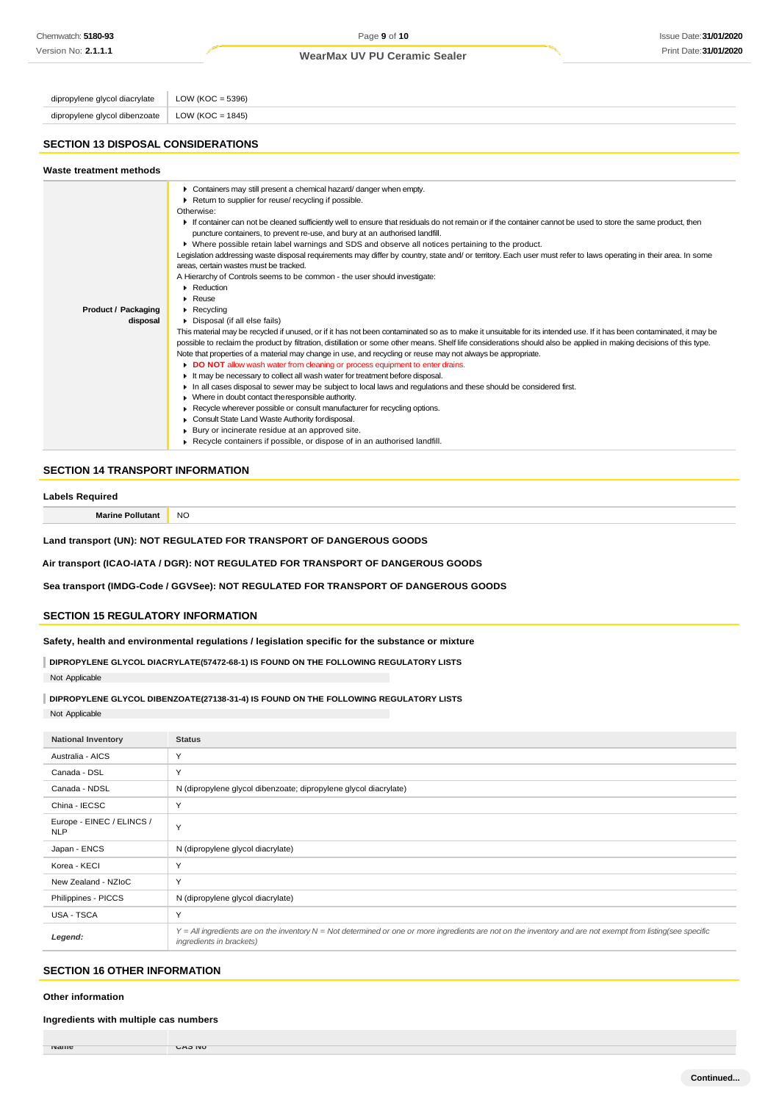dipropylene glycol diacrylate  $\vert$  LOW (KOC = 5396) dipropylene glycol dibenzoate | LOW (KOC = 1845)

### **SECTION 13 DISPOSAL CONSIDERATIONS**

| Waste treatment methods                |                                                                                                                                                                                                                                                                                                                                                                                                                                                                                                                                                                                                                                                                                                                                                                                                                                                                                                                                                                                                                                                                                                                                                                                                                                                                                                                                                                                                                                                                                                                                                                                                                                                                                                                                                                                                                                                                                                                                                                                         |
|----------------------------------------|-----------------------------------------------------------------------------------------------------------------------------------------------------------------------------------------------------------------------------------------------------------------------------------------------------------------------------------------------------------------------------------------------------------------------------------------------------------------------------------------------------------------------------------------------------------------------------------------------------------------------------------------------------------------------------------------------------------------------------------------------------------------------------------------------------------------------------------------------------------------------------------------------------------------------------------------------------------------------------------------------------------------------------------------------------------------------------------------------------------------------------------------------------------------------------------------------------------------------------------------------------------------------------------------------------------------------------------------------------------------------------------------------------------------------------------------------------------------------------------------------------------------------------------------------------------------------------------------------------------------------------------------------------------------------------------------------------------------------------------------------------------------------------------------------------------------------------------------------------------------------------------------------------------------------------------------------------------------------------------------|
| <b>Product / Packaging</b><br>disposal | Containers may still present a chemical hazard/danger when empty.<br>Return to supplier for reuse/ recycling if possible.<br>Otherwise:<br>If container can not be cleaned sufficiently well to ensure that residuals do not remain or if the container cannot be used to store the same product, then<br>puncture containers, to prevent re-use, and bury at an authorised landfill.<br>▶ Where possible retain label warnings and SDS and observe all notices pertaining to the product.<br>Legislation addressing waste disposal requirements may differ by country, state and/ or territory. Each user must refer to laws operating in their area. In some<br>areas, certain wastes must be tracked.<br>A Hierarchy of Controls seems to be common - the user should investigate:<br>Reduction<br>$\blacktriangleright$ Reuse<br>$\triangleright$ Recycling<br>Disposal (if all else fails)<br>This material may be recycled if unused, or if it has not been contaminated so as to make it unsuitable for its intended use. If it has been contaminated, it may be<br>possible to reclaim the product by filtration, distillation or some other means. Shelf life considerations should also be applied in making decisions of this type.<br>Note that properties of a material may change in use, and recycling or reuse may not always be appropriate.<br>DO NOT allow wash water from cleaning or process equipment to enter drains.<br>It may be necessary to collect all wash water for treatment before disposal.<br>In all cases disposal to sewer may be subject to local laws and regulations and these should be considered first.<br>• Where in doubt contact the responsible authority.<br>Recycle wherever possible or consult manufacturer for recycling options.<br>Consult State Land Waste Authority fordisposal.<br>Bury or incinerate residue at an approved site.<br>$\triangleright$ Recycle containers if possible, or dispose of in an authorised landfill. |

#### **SECTION 14 TRANSPORT INFORMATION**

#### **Labels Required**

**Marine Pollutant** NO

**Land transport (UN): NOT REGULATED FOR TRANSPORT OF DANGEROUS GOODS**

**Air transport (ICAO-IATA / DGR): NOT REGULATED FOR TRANSPORT OF DANGEROUS GOODS**

**Sea transport (IMDG-Code / GGVSee): NOT REGULATED FOR TRANSPORT OF DANGEROUS GOODS**

#### **SECTION 15 REGULATORY INFORMATION**

**Safety, health and environmental regulations / legislation specific for the substance or mixture**

**DIPROPYLENE GLYCOL DIACRYLATE(57472-68-1) IS FOUND ON THE FOLLOWING REGULATORY LISTS** Not Applicable

**DIPROPYLENE GLYCOL DIBENZOATE(27138-31-4) IS FOUND ON THE FOLLOWING REGULATORY LISTS** Not Applicable

| <b>National Inventory</b>               | <b>Status</b>                                                                                                                                                                                |
|-----------------------------------------|----------------------------------------------------------------------------------------------------------------------------------------------------------------------------------------------|
| Australia - AICS                        | Y                                                                                                                                                                                            |
| Canada - DSL                            | Y                                                                                                                                                                                            |
| Canada - NDSL                           | N (dipropylene glycol dibenzoate; dipropylene glycol diacrylate)                                                                                                                             |
| China - IECSC                           | Y                                                                                                                                                                                            |
| Europe - EINEC / ELINCS /<br><b>NLP</b> | Y                                                                                                                                                                                            |
| Japan - ENCS                            | N (dipropylene glycol diacrylate)                                                                                                                                                            |
| Korea - KECI                            | Y                                                                                                                                                                                            |
| New Zealand - NZIoC                     | Y                                                                                                                                                                                            |
| Philippines - PICCS                     | N (dipropylene glycol diacrylate)                                                                                                                                                            |
| USA - TSCA                              | Y                                                                                                                                                                                            |
| Legend:                                 | $Y = All$ ingredients are on the inventory $N = Not$ determined or one or more ingredients are not on the inventory and are not exempt from listing(see specific<br>ingredients in brackets) |

### **SECTION 16 OTHER INFORMATION**

#### **Other information**

**Ingredients with multiple cas numbers**

**Name CAS NO**